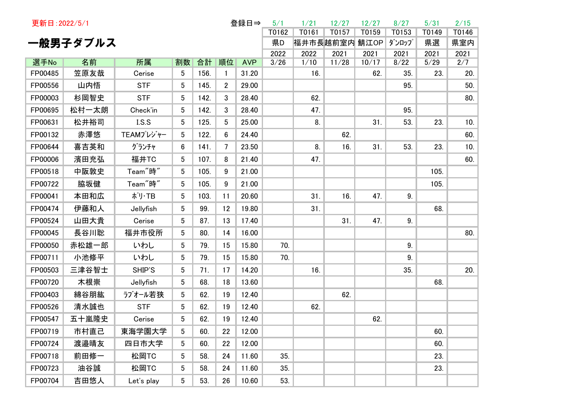| 更新日: 2022/5/1 |          |                      |                 |      |                | 登録日⇒       | 5/1   | 1/21          | 12/27 | 12/27 | 8/27  | 5/31  | 2/15  |
|---------------|----------|----------------------|-----------------|------|----------------|------------|-------|---------------|-------|-------|-------|-------|-------|
|               |          |                      |                 |      |                |            | T0162 | T0161         | T0157 | T0159 | T0153 | T0149 | T0146 |
|               | 一般男子ダブルス |                      |                 |      |                |            | 県D    | 福井市長越前室内 鯖江OP |       |       | ダンロップ | 県選    | 県室内   |
|               |          |                      |                 |      |                |            | 2022  | 2022          | 2021  | 2021  | 2021  | 2021  | 2021  |
| 選手No          | 名前       | 所属                   | 割数              | 合計   | 順位             | <b>AVP</b> | 3/26  | 1/10          | 11/28 | 10/17 | 8/22  | 5/29  | 2/7   |
| FP00485       | 笠原友哉     | Cerise               | 5               | 156. | $\mathbf{1}$   | 31.20      |       | 16.           |       | 62.   | 35.   | 23.   | 20.   |
| FP00556       | 山内悟      | <b>STF</b>           | 5               | 145. | $\overline{c}$ | 29.00      |       |               |       |       | 95.   |       | 50.   |
| FP00003       | 杉岡智史     | <b>STF</b>           | 5               | 142. | 3              | 28.40      |       | 62.           |       |       |       |       | 80.   |
| FP00695       | 松村一太朗    | Check'in             | 5               | 142. | 3              | 28.40      |       | 47.           |       |       | 95.   |       |       |
| FP00631       | 松井裕司     | I.S.S                | $5\phantom{.0}$ | 125. | 5              | 25.00      |       | 8.            |       | 31.   | 53.   | 23.   | 10.   |
| FP00132       | 赤澤悠      | TEAMプレジャー            | $5\phantom{.0}$ | 122. | 6              | 24.40      |       |               | 62.   |       |       |       | 60.   |
| FP00644       | 喜吉英和     | グランチャ                | 6               | 141. | 7              | 23.50      |       | 8.            | 16.   | 31.   | 53.   | 23.   | 10.   |
| FP00006       | 濱田充弘     | 福井TC                 | 5               | 107. | 8              | 21.40      |       | 47.           |       |       |       |       | 60.   |
| FP00518       | 中阪敦史     | Team <sup>"</sup> 時" | 5               | 105. | 9              | 21.00      |       |               |       |       |       | 105.  |       |
| FP00722       | 脇坂健      | Team <sup>"</sup> 時" | 5               | 105. | 9              | 21.00      |       |               |       |       |       | 105.  |       |
| FP00041       | 本田和広     | ポリ・TB                | 5               | 103. | 11             | 20.60      |       | 31.           | 16.   | 47.   | 9.    |       |       |
| FP00474       | 伊藤和人     | Jellyfish            | 5               | 99.  | 12             | 19.80      |       | 31.           |       |       |       | 68.   |       |
| FP00524       | 山田大貴     | Cerise               | 5               | 87.  | 13             | 17.40      |       |               | 31.   | 47.   | 9.    |       |       |
| FP00045       | 長谷川聡     | 福井市役所                | 5               | 80.  | 14             | 16.00      |       |               |       |       |       |       | 80.   |
| FP00050       | 赤松雄一郎    | いわし                  | 5               | 79.  | 15             | 15.80      | 70.   |               |       |       | 9.    |       |       |
| FP00711       | 小池修平     | いわし                  | 5               | 79.  | 15             | 15.80      | 70.   |               |       |       | 9.    |       |       |
| FP00503       | 三津谷智士    | SHIP'S               | 5               | 71.  | 17             | 14.20      |       | 16.           |       |       | 35.   |       | 20.   |
| FP00720       | 木根崇      | Jellyfish            | 5               | 68.  | 18             | 13.60      |       |               |       |       |       | 68.   |       |
| FP00403       | 綿谷朋紘     | ラブオール若狭              | 5               | 62.  | 19             | 12.40      |       |               | 62.   |       |       |       |       |
| FP00526       | 清水誠也     | <b>STF</b>           | 5               | 62.  | 19             | 12.40      |       | 62.           |       |       |       |       |       |
| FP00547       | 五十嵐隆史    | Cerise               | 5               | 62.  | 19             | 12.40      |       |               |       | 62.   |       |       |       |
| FP00719       | 市村直己     | 東海学園大学               | 5 <sup>5</sup>  | 60.  | 22             | 12.00      |       |               |       |       |       | 60.   |       |
| FP00724       | 渡邉晴友     | 四日市大学                | 5               | 60.  | 22             | 12.00      |       |               |       |       |       | 60.   |       |
| FP00718       | 前田修一     | 松岡TC                 | 5               | 58.  | 24             | 11.60      | 35.   |               |       |       |       | 23.   |       |
| FP00723       | 油谷誠      | 松岡TC                 | 5               | 58.  | 24             | 11.60      | 35.   |               |       |       |       | 23.   |       |
| FP00704       | 吉田悠人     | Let's play           | 5               | 53.  | 26             | 10.60      | 53.   |               |       |       |       |       |       |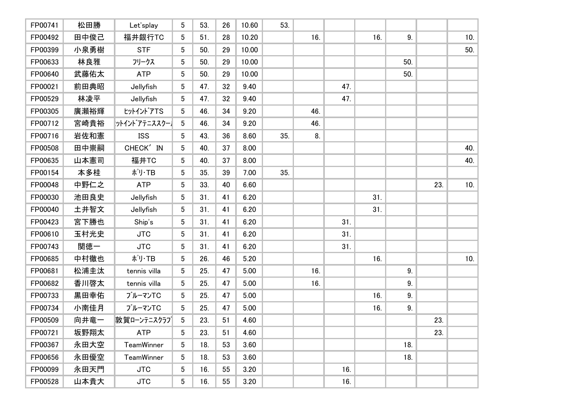| FP00741 | 松田勝  | Let'splay     | 5               | 53. | 26 | 10.60 | 53. |     |     |     |                |     |     |
|---------|------|---------------|-----------------|-----|----|-------|-----|-----|-----|-----|----------------|-----|-----|
| FP00492 | 田中俊己 | 福井銀行TC        | 5               | 51. | 28 | 10.20 |     | 16. |     | 16. | 9 <sub>1</sub> |     | 10. |
| FP00399 | 小泉勇樹 | <b>STF</b>    | 5               | 50. | 29 | 10.00 |     |     |     |     |                |     | 50. |
| FP00633 | 林良雅  | フリークス         | 5               | 50. | 29 | 10.00 |     |     |     |     | 50.            |     |     |
| FP00640 | 武藤佑太 | <b>ATP</b>    | 5               | 50. | 29 | 10.00 |     |     |     |     | 50.            |     |     |
| FP00021 | 前田典昭 | Jellyfish     | 5               | 47. | 32 | 9.40  |     |     | 47. |     |                |     |     |
| FP00529 | 林凌平  | Jellyfish     | 5               | 47. | 32 | 9.40  |     |     | 47. |     |                |     |     |
| FP00305 | 廣瀬裕輝 | ヒットイントアTS     | 5               | 46. | 34 | 9.20  |     | 46. |     |     |                |     |     |
| FP00712 | 宮崎貴裕 | ットインドアテニススクー】 | $5\phantom{.0}$ | 46. | 34 | 9.20  |     | 46. |     |     |                |     |     |
| FP00716 | 岩佐和憲 | <b>ISS</b>    | 5               | 43. | 36 | 8.60  | 35. | 8.  |     |     |                |     |     |
| FP00508 | 田中崇嗣 | CHECK' IN     | 5               | 40. | 37 | 8.00  |     |     |     |     |                |     | 40. |
| FP00635 | 山本憲司 | 福井TC          | 5               | 40. | 37 | 8.00  |     |     |     |     |                |     | 40. |
| FP00154 | 本多桂  | ポリ・TB         | 5               | 35. | 39 | 7.00  | 35. |     |     |     |                |     |     |
| FP00048 | 中野仁之 | <b>ATP</b>    | 5               | 33. | 40 | 6.60  |     |     |     |     |                | 23. | 10. |
| FP00030 | 池田良史 | Jellyfish     | 5               | 31. | 41 | 6.20  |     |     |     | 31. |                |     |     |
| FP00040 | 土井智文 | Jellyfish     | 5               | 31. | 41 | 6.20  |     |     |     | 31. |                |     |     |
| FP00423 | 宮下勝也 | Ship's        | 5               | 31. | 41 | 6.20  |     |     | 31. |     |                |     |     |
| FP00610 | 玉村光史 | <b>JTC</b>    | 5               | 31. | 41 | 6.20  |     |     | 31. |     |                |     |     |
| FP00743 | 関徳一  | <b>JTC</b>    | 5               | 31. | 41 | 6.20  |     |     | 31. |     |                |     |     |
| FP00685 | 中村徹也 | ポリ・TB         | 5               | 26. | 46 | 5.20  |     |     |     | 16. |                |     | 10. |
| FP00681 | 松浦圭汰 | tennis villa  | 5               | 25. | 47 | 5.00  |     | 16. |     |     | 9.             |     |     |
| FP00682 | 香川啓太 | tennis villa  | 5               | 25. | 47 | 5.00  |     | 16. |     |     | 9.             |     |     |
| FP00733 | 黒田幸佑 | ブルーマンTC       | 5               | 25. | 47 | 5.00  |     |     |     | 16. | 9.             |     |     |
| FP00734 | 小南佳月 | ブルーマンTC       | 5 <sup>5</sup>  | 25. | 47 | 5.00  |     |     |     | 16. | 9.             |     |     |
| FP00509 | 向井竜一 | 敦賀ローンテニスクラブ   | 5               | 23. | 51 | 4.60  |     |     |     |     |                | 23. |     |
| FP00721 | 坂野翔太 | ATP           | 5 <sub>5</sub>  | 23. | 51 | 4.60  |     |     |     |     |                | 23. |     |
| FP00367 | 永田大空 | TeamWinner    | 5               | 18. | 53 | 3.60  |     |     |     |     | 18.            |     |     |
| FP00656 | 永田優空 | TeamWinner    | 5               | 18. | 53 | 3.60  |     |     |     |     | 18.            |     |     |
| FP00099 | 永田天門 | <b>JTC</b>    | 5               | 16. | 55 | 3.20  |     |     | 16. |     |                |     |     |
| FP00528 | 山本貴大 | <b>JTC</b>    | 5               | 16. | 55 | 3.20  |     |     | 16. |     |                |     |     |